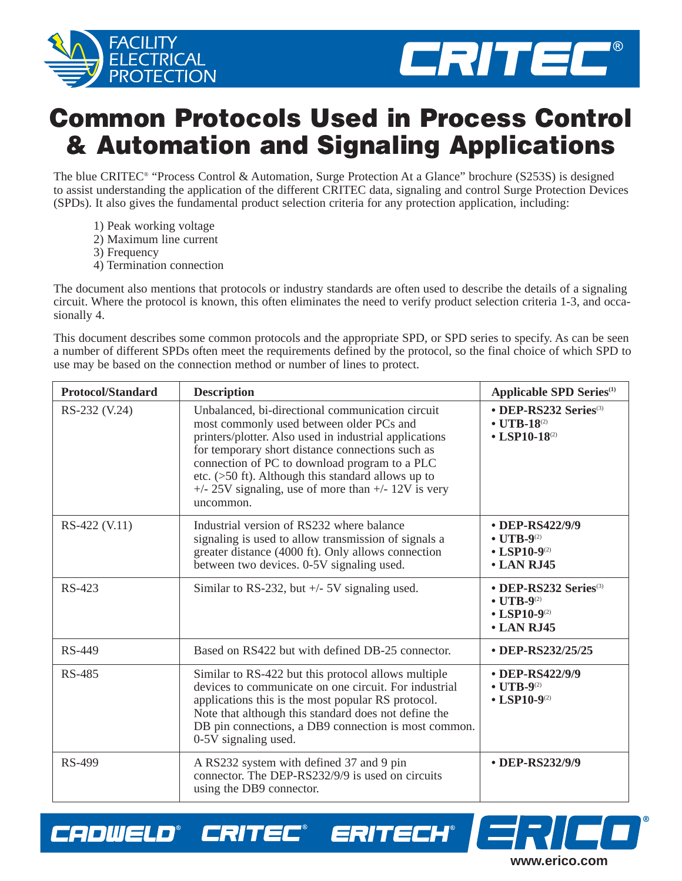



## **Common Protocols Used in Process Control & Automation and Signaling Applications**

The blue CRITEC® "Process Control & Automation, Surge Protection At a Glance" brochure (S253S) is designed to assist understanding the application of the different CRITEC data, signaling and control Surge Protection Devices (SPDs). It also gives the fundamental product selection criteria for any protection application, including:

- 1) Peak working voltage
- 2) Maximum line current
- 3) Frequency

CADWELD®

CRITEC®

4) Termination connection

The document also mentions that protocols or industry standards are often used to describe the details of a signaling circuit. Where the protocol is known, this often eliminates the need to verify product selection criteria 1-3, and occasionally 4.

This document describes some common protocols and the appropriate SPD, or SPD series to specify. As can be seen a number of different SPDs often meet the requirements defined by the protocol, so the final choice of which SPD to use may be based on the connection method or number of lines to protect.

| <b>Protocol/Standard</b> | <b>Description</b>                                                                                                                                                                                                                                                                                                                                                                        | <b>Applicable SPD Series</b> <sup>(1)</sup>                                                                         |  |
|--------------------------|-------------------------------------------------------------------------------------------------------------------------------------------------------------------------------------------------------------------------------------------------------------------------------------------------------------------------------------------------------------------------------------------|---------------------------------------------------------------------------------------------------------------------|--|
| RS-232 (V.24)            | Unbalanced, bi-directional communication circuit<br>most commonly used between older PCs and<br>printers/plotter. Also used in industrial applications<br>for temporary short distance connections such as<br>connection of PC to download program to a PLC<br>etc. (>50 ft). Although this standard allows up to<br>$+/- 25V$ signaling, use of more than $+/- 12V$ is very<br>uncommon. | • DEP-RS232 Series <sup>(3)</sup><br>$\bullet$ UTB-18 <sup>(2)</sup><br>$\bullet$ LSP10-18 <sup>(2)</sup>           |  |
| RS-422 (V.11)            | Industrial version of RS232 where balance<br>signaling is used to allow transmission of signals a<br>greater distance (4000 ft). Only allows connection<br>between two devices. 0-5V signaling used.                                                                                                                                                                                      | • DEP-RS422/9/9<br>$\bullet$ UTB-9 <sup>(2)</sup><br>• LSP10-9 $^{(2)}$<br>• LAN RJ45                               |  |
| RS-423                   | Similar to RS-232, but $+/-$ 5V signaling used.                                                                                                                                                                                                                                                                                                                                           | • DEP-RS232 Series <sup>(3)</sup><br>$\bullet$ UTB-9 <sup>(2)</sup><br>$\cdot$ LSP10-9 <sup>(2)</sup><br>• LAN RJ45 |  |
| RS-449                   | Based on RS422 but with defined DB-25 connector.                                                                                                                                                                                                                                                                                                                                          | • DEP-RS232/25/25                                                                                                   |  |
| <b>RS-485</b>            | Similar to RS-422 but this protocol allows multiple<br>devices to communicate on one circuit. For industrial<br>applications this is the most popular RS protocol.<br>Note that although this standard does not define the<br>DB pin connections, a DB9 connection is most common.<br>0-5V signaling used.                                                                                | • DEP-RS422/9/9<br>$\bullet$ UTB-9 <sup>(2)</sup><br>$\cdot$ LSP10-9 <sup>(2)</sup>                                 |  |
| <b>RS-499</b>            | A RS232 system with defined 37 and 9 pin<br>connector. The DEP-RS232/9/9 is used on circuits<br>using the DB9 connector.                                                                                                                                                                                                                                                                  | • DEP-RS232/9/9                                                                                                     |  |

ERITECH®

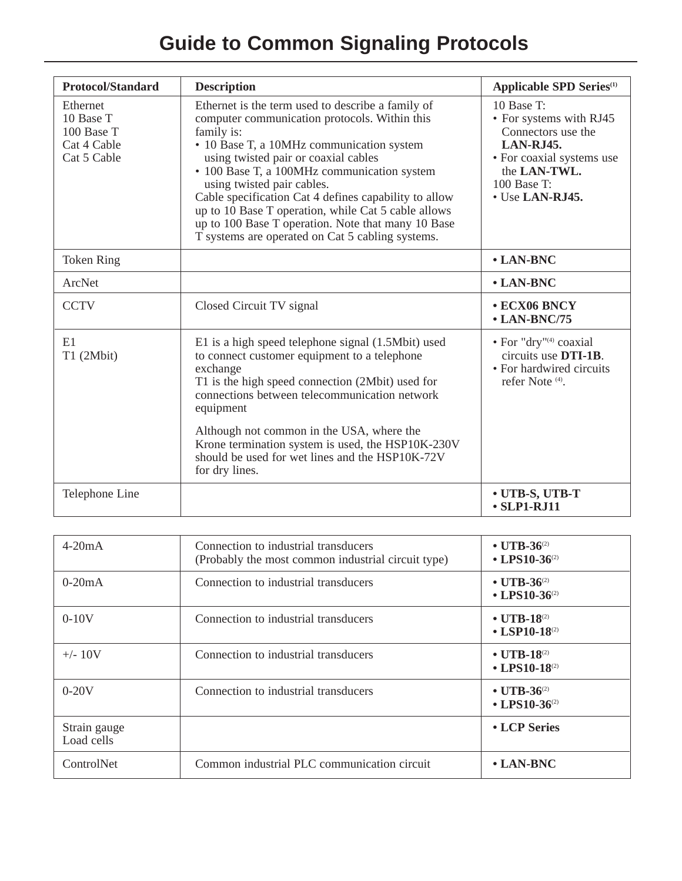## **Guide to Common Signaling Protocols**

| <b>Protocol/Standard</b>                                          | <b>Description</b>                                                                                                                                                                                                                                                                                                                                                                                                                                                                                           | <b>Applicable SPD Series</b> <sup>(1)</sup>                                                                                                                      |
|-------------------------------------------------------------------|--------------------------------------------------------------------------------------------------------------------------------------------------------------------------------------------------------------------------------------------------------------------------------------------------------------------------------------------------------------------------------------------------------------------------------------------------------------------------------------------------------------|------------------------------------------------------------------------------------------------------------------------------------------------------------------|
| Ethernet<br>10 Base T<br>100 Base T<br>Cat 4 Cable<br>Cat 5 Cable | Ethernet is the term used to describe a family of<br>computer communication protocols. Within this<br>family is:<br>• 10 Base T, a 10MHz communication system<br>using twisted pair or coaxial cables<br>• 100 Base T, a 100MHz communication system<br>using twisted pair cables.<br>Cable specification Cat 4 defines capability to allow<br>up to 10 Base T operation, while Cat 5 cable allows<br>up to 100 Base T operation. Note that many 10 Base<br>T systems are operated on Cat 5 cabling systems. | $10$ Base T:<br>• For systems with RJ45<br>Connectors use the<br><b>LAN-RJ45.</b><br>• For coaxial systems use<br>the LAN-TWL.<br>100 Base T:<br>• Use LAN-RJ45. |
| <b>Token Ring</b>                                                 |                                                                                                                                                                                                                                                                                                                                                                                                                                                                                                              | • LAN-BNC                                                                                                                                                        |
| <b>ArcNet</b>                                                     |                                                                                                                                                                                                                                                                                                                                                                                                                                                                                                              | • LAN-BNC                                                                                                                                                        |
| <b>CCTV</b>                                                       | Closed Circuit TV signal                                                                                                                                                                                                                                                                                                                                                                                                                                                                                     | • ECX06 BNCY<br>$\cdot$ LAN-BNC/75                                                                                                                               |
| E1<br>T1 (2Mbit)                                                  | E1 is a high speed telephone signal (1.5Mbit) used<br>to connect customer equipment to a telephone<br>exchange<br>T1 is the high speed connection (2Mbit) used for<br>connections between telecommunication network<br>equipment<br>Although not common in the USA, where the                                                                                                                                                                                                                                | • For "dry" <sup>(4)</sup> coaxial<br>circuits use DTI-1B.<br>• For hardwired circuits<br>refer Note <sup>(4)</sup> .                                            |
|                                                                   | Krone termination system is used, the HSP10K-230V<br>should be used for wet lines and the HSP10K-72V<br>for dry lines.                                                                                                                                                                                                                                                                                                                                                                                       |                                                                                                                                                                  |
| Telephone Line                                                    |                                                                                                                                                                                                                                                                                                                                                                                                                                                                                                              | • UTB-S, UTB-T<br>$\cdot$ SLP1-RJ11                                                                                                                              |

| $4-20mA$                   | Connection to industrial transducers<br>(Probably the most common industrial circuit type) | • UTB-36 $^{(2)}$<br>• LPS10-36 $(2)$          |  |  |
|----------------------------|--------------------------------------------------------------------------------------------|------------------------------------------------|--|--|
| $0-20mA$                   | Connection to industrial transducers<br>• UTB-36 $^{(2)}$<br>• LPS10-36 $(2)$              |                                                |  |  |
| $0-10V$                    | Connection to industrial transducers                                                       | • UTB-18 $(2)$<br>• LSP10-18 $(2)$             |  |  |
| $+/- 10V$                  | Connection to industrial transducers                                                       | • UTB-18 $(2)$<br>• LPS10-18 $(2)$             |  |  |
| $0-20V$                    | Connection to industrial transducers                                                       | • UTB-36 $^{(2)}$<br>• LPS10-36 <sup>(2)</sup> |  |  |
| Strain gauge<br>Load cells |                                                                                            | • LCP Series                                   |  |  |
| ControlNet                 | Common industrial PLC communication circuit                                                | $\cdot$ LAN-BNC                                |  |  |